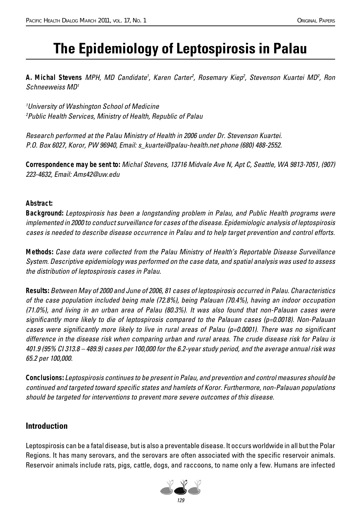# **The Epidemiology of Leptospirosis in Palau**

A. Michal Stevens MPH, MD Candidate<sup>1</sup>, Karen Carter<sup>2</sup>, Rosemary Kiep<sup>2</sup>, Stevenson Kuartei MD<sup>2</sup>, Ron Schneeweiss MD1

1 University of Washington School of Medicine 2 Public Health Services, Ministry of Health, Republic of Palau

Research performed at the Palau Ministry of Health in 2006 under Dr. Stevenson Kuartei. P.O. Box 6027, Koror, PW 96940, Email: s\_kuartei@palau-health.net phone (680) 488-2552.

*Correspondence may be sent to:* Michal Stevens, 13716 Midvale Ave N, Apt C, Seattle, WA 9813-7051, (907) 223-4632, Email: Ams42@uw.edu

#### *Abstract:*

*Background:* Leptospirosis has been a longstanding problem in Palau, and Public Health programs were implemented in 2000 to conduct surveillance for cases of the disease. Epidemiologic analysis of leptospirosis cases is needed to describe disease occurrence in Palau and to help target prevention and control efforts.

*Methods:* Case data were collected from the Palau Ministry of Health's Reportable Disease Surveillance System. Descriptive epidemiology was performed on the case data, and spatial analysis was used to assess the distribution of leptospirosis cases in Palau.

*Results:* Between May of 2000 and June of 2006, 81 cases of leptospirosis occurred in Palau. Characteristics of the case population included being male (72.8%), being Palauan (70.4%), having an indoor occupation (71.0%), and living in an urban area of Palau (80.3%). It was also found that non-Palauan cases were significantly more likely to die of leptospirosis compared to the Palauan cases (p=0.0018). Non-Palauan cases were significantly more likely to live in rural areas of Palau (p=0.0001). There was no significant difference in the disease risk when comparing urban and rural areas. The crude disease risk for Palau is 401.9 (95% CI 313.8 – 489.9) cases per 100,000 for the 6.2-year study period, and the average annual risk was 65.2 per 100,000.

*Conclusions:* Leptospirosis continues to be present in Palau, and prevention and control measures should be continued and targeted toward specific states and hamlets of Koror. Furthermore, non-Palauan populations should be targeted for interventions to prevent more severe outcomes of this disease.

## **Introduction**

Leptospirosis can be a fatal disease, but is also a preventable disease. It occurs worldwide in all but the Polar Regions. It has many serovars, and the serovars are often associated with the specific reservoir animals. Reservoir animals include rats, pigs, cattle, dogs, and raccoons, to name only a few. Humans are infected

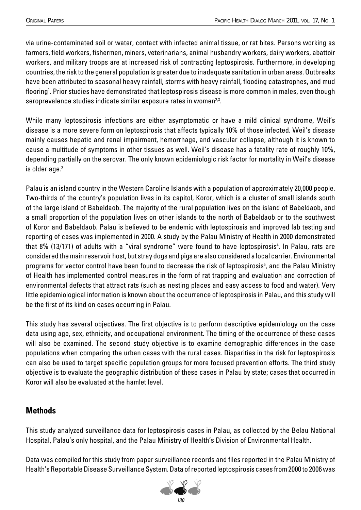via urine-contaminated soil or water, contact with infected animal tissue, or rat bites. Persons working as farmers, field workers, fishermen, miners, veterinarians, animal husbandry workers, dairy workers, abattoir workers, and military troops are at increased risk of contracting leptospirosis. Furthermore, in developing countries, the risk to the general population is greater due to inadequate sanitation in urban areas. Outbreaks have been attributed to seasonal heavy rainfall, storms with heavy rainfall, flooding catastrophes, and mud flooring<sup>1</sup>. Prior studies have demonstrated that leptospirosis disease is more common in males, even though seroprevalence studies indicate similar exposure rates in women<sup>2,3</sup>.

While many leptospirosis infections are either asymptomatic or have a mild clinical syndrome, Weil's disease is a more severe form on leptospirosis that affects typically 10% of those infected. Weil's disease mainly causes hepatic and renal impairment, hemorrhage, and vascular collapse, although it is known to cause a multitude of symptoms in other tissues as well. Weil's disease has a fatality rate of roughly 10%, depending partially on the serovar. The only known epidemiologic risk factor for mortality in Weil's disease is older age.<sup>2</sup>

Palau is an island country in the Western Caroline Islands with a population of approximately 20,000 people. Two-thirds of the country's population lives in its capitol, Koror, which is a cluster of small islands south of the large island of Babeldaob. The majority of the rural population lives on the island of Babeldaob, and a small proportion of the population lives on other islands to the north of Babeldaob or to the southwest of Koror and Babeldaob. Palau is believed to be endemic with leptospirosis and improved lab testing and reporting of cases was implemented in 2000. A study by the Palau Ministry of Health in 2000 demonstrated that 8% (13/171) of adults with a "viral syndrome" were found to have leptospirosis<sup>4</sup>. In Palau, rats are considered the main reservoir host, but stray dogs and pigs are also considered a local carrier. Environmental programs for vector control have been found to decrease the risk of leptospirosis<sup>5</sup>, and the Palau Ministry of Health has implemented control measures in the form of rat trapping and evaluation and correction of environmental defects that attract rats (such as nesting places and easy access to food and water). Very little epidemiological information is known about the occurrence of leptospirosis in Palau, and this study will be the first of its kind on cases occurring in Palau.

This study has several objectives. The first objective is to perform descriptive epidemiology on the case data using age, sex, ethnicity, and occupational environment. The timing of the occurrence of these cases will also be examined. The second study objective is to examine demographic differences in the case populations when comparing the urban cases with the rural cases. Disparities in the risk for leptospirosis can also be used to target specific population groups for more focused prevention efforts. The third study objective is to evaluate the geographic distribution of these cases in Palau by state; cases that occurred in Koror will also be evaluated at the hamlet level.

# **Methods**

This study analyzed surveillance data for leptospirosis cases in Palau, as collected by the Belau National Hospital, Palau's only hospital, and the Palau Ministry of Health's Division of Environmental Health.

Data was compiled for this study from paper surveillance records and files reported in the Palau Ministry of Health's Reportable Disease Surveillance System. Data of reported leptospirosis cases from 2000 to 2006 was

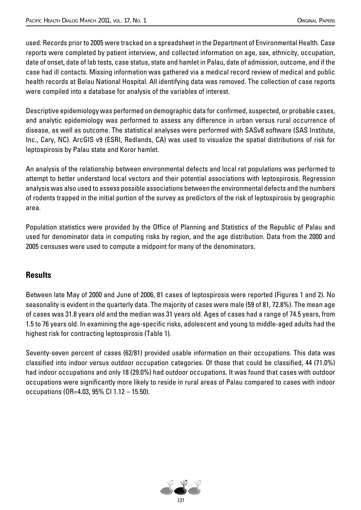used. Records prior to 2005 were tracked on a spreadsheet in the Department of Environmental Health. Case reports were completed by patient interview, and collected information on age, sex, ethnicity, occupation, date of onset, date of lab tests, case status, state and hamlet in Palau, date of admission, outcome, and if the case had ill contacts. Missing information was gathered via a medical record review of medical and public health records at Belau National Hospital. All identifying data was removed. The collection of case reports were compiled into a database for analysis of the variables of interest.

Descriptive epidemiology was performed on demographic data for confirmed, suspected, or probable cases, and analytic epidemiology was performed to assess any difference in urban versus rural occurrence of disease, as well as outcome. The statistical analyses were performed with SASv8 software (SAS Institute, Inc., Cary, NC). ArcGIS v9 (ESRI, Redlands, CA) was used to visualize the spatial distributions of risk for leptospirosis by Palau state and Koror hamlet.

An analysis of the relationship between environmental defects and local rat populations was performed to attempt to better understand local vectors and their potential associations with leptospirosis. Regression analysis was also used to assess possible associations between the environmental defects and the numbers of rodents trapped in the initial portion of the survey as predictors of the risk of leptospirosis by geographic area.

Population statistics were provided by the Office of Planning and Statistics of the Republic of Palau and used for denominator data in computing risks by region, and the age distribution. Data from the 2000 and 2005 censuses were used to compute a midpoint for many of the denominators.

## **Results**

Between late May of 2000 and June of 2006, 81 cases of leptospirosis were reported (Figures 1 and 2). No seasonality is evident in the quarterly data. The majority of cases were male (59 of 81, 72.8%). The mean age of cases was 31.8 years old and the median was 31 years old. Ages of cases had a range of 74.5 years, from 1.5 to 76 years old. In examining the age-specific risks, adolescent and young to middle-aged adults had the highest risk for contracting leptospirosis (Table 1).

Seventy-seven percent of cases (62/81) provided usable information on their occupations. This data was classified into indoor versus outdoor occupation categories. Of those that could be classified, 44 (71.0%) had indoor occupations and only 18 (29.0%) had outdoor occupations. It was found that cases with outdoor occupations were significantly more likely to reside in rural areas of Palau compared to cases with indoor occupations (OR=4.03, 95% CI 1.12 – 15.50).

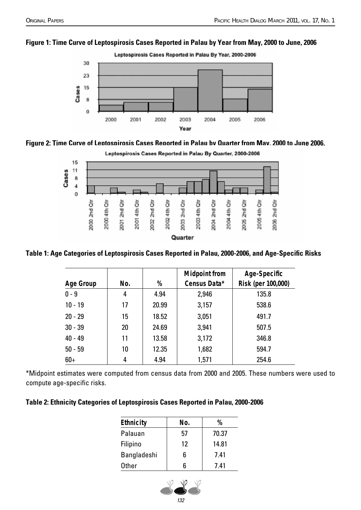#### **Figure 1: Time Curve of Leptospirosis Cases Reported in Palau by Year from May, 2000 to June, 2006**









Table 1: Age Categories of Leptospirosis Cases Reported in Palau, 2000-2006, and Age-Specific Risks

| <b>Age Group</b> | No. | %     | <b>Midpoint from</b><br>Census Data* | Age-Specific<br>Risk (per 100,000) |
|------------------|-----|-------|--------------------------------------|------------------------------------|
|                  |     |       |                                      |                                    |
| $0 - 9$          | 4   | 4.94  | 2,946                                | 135.8                              |
| $10 - 19$        | 17  | 20.99 | 3,157                                | 538.6                              |
| $20 - 29$        | 15  | 18.52 | 3,051                                | 491.7                              |
| $30 - 39$        | 20  | 24.69 | 3,941                                | 507.5                              |
| $40 - 49$        | 11  | 13.58 | 3,172                                | 346.8                              |
| $50 - 59$        | 10  | 12.35 | 1,682                                | 594.7                              |
| $60+$            | 4   | 4.94  | 1,571                                | 254.6                              |

\*Midpoint estimates were computed from census data from 2000 and 2005. These numbers were used to compute age-specific risks.

#### **Table 2: Ethnicity Categories of Leptospirosis Cases Reported in Palau, 2000-2006**

| <b>Ethnicity</b> | No. | %     |  |
|------------------|-----|-------|--|
| Palauan          | 57  | 70.37 |  |
| Filipino         | 12  | 14.81 |  |
| Bangladeshi      | 6   | 7.41  |  |
| <b>Other</b>     |     | 7.41  |  |

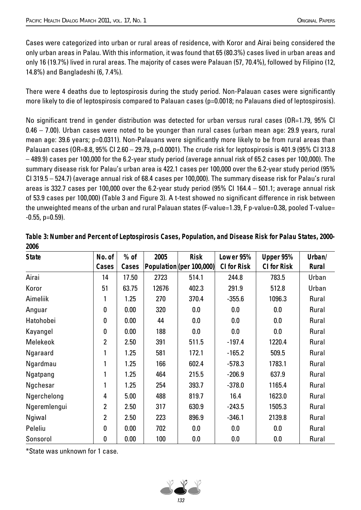Cases were categorized into urban or rural areas of residence, with Koror and Airai being considered the only urban areas in Palau. With this information, it was found that 65 (80.3%) cases lived in urban areas and only 16 (19.7%) lived in rural areas. The majority of cases were Palauan (57, 70.4%), followed by Filipino (12, 14.8%) and Bangladeshi (6, 7.4%).

There were 4 deaths due to leptospirosis during the study period. Non-Palauan cases were significantly more likely to die of leptospirosis compared to Palauan cases (p=0.0018; no Palauans died of leptospirosis).

No significant trend in gender distribution was detected for urban versus rural cases (OR=1.79, 95% CI 0.46 – 7.00). Urban cases were noted to be younger than rural cases (urban mean age: 29.9 years, rural mean age: 39.6 years; p=0.0311). Non-Palauans were significantly more likely to be from rural areas than Palauan cases (OR=8.8, 95% CI 2.60 – 29.79, p=0.0001). The crude risk for leptospirosis is 401.9 (95% CI 313.8 – 489.9) cases per 100,000 for the 6.2-year study period (average annual risk of 65.2 cases per 100,000). The summary disease risk for Palau's urban area is 422.1 cases per 100,000 over the 6.2-year study period (95% CI 319.5 – 524.7) (average annual risk of 68.4 cases per 100,000). The summary disease risk for Palau's rural areas is 332.7 cases per 100,000 over the 6.2-year study period (95% CI 164.4 – 501.1; average annual risk of 53.9 cases per 100,000) (Table 3 and Figure 3). A t-test showed no signifi cant difference in risk between the unweighted means of the urban and rural Palauan states (F-value=1.39, F p-value=0.38, pooled T-value=  $-0.55$ , p=0.59).

| <b>State</b>    | No. of         | $%$ of | 2005  | <b>Risk</b>              | Lower 95%          | Upper 95%          | Urban/       |
|-----------------|----------------|--------|-------|--------------------------|--------------------|--------------------|--------------|
|                 | Cases          | Cases  |       | Population (per 100,000) | <b>CI for Risk</b> | <b>CI for Risk</b> | <b>Rural</b> |
| Airai           | 14             | 17.50  | 2723  | 514.1                    | 244.8              | 783.5              | Urban        |
| Koror           | 51             | 63.75  | 12676 | 402.3                    | 291.9              | 512.8              | Urban        |
| Aimeliik        |                | 1.25   | 270   | 370.4                    | $-355.6$           | 1096.3             | Rural        |
| Anguar          | 0              | 0.00   | 320   | 0.0                      | 0.0                | 0.0                | Rural        |
| Hatohobei       | $\mathbf{0}$   | 0.00   | 44    | 0.0                      | 0.0                | 0.0                | Rural        |
| Kayangel        | 0              | 0.00   | 188   | 0.0                      | 0.0                | 0.0                | Rural        |
| <b>Melekeok</b> | $\overline{2}$ | 2.50   | 391   | 511.5                    | $-197.4$           | 1220.4             | Rural        |
| <b>Ngaraard</b> |                | 1.25   | 581   | 172.1                    | $-165.2$           | 509.5              | Rural        |
| Ngardmau        |                | 1.25   | 166   | 602.4                    | $-578.3$           | 1783.1             | Rural        |
| Ngatpang        |                | 1.25   | 464   | 215.5                    | $-206.9$           | 637.9              | Rural        |
| Ngchesar        |                | 1.25   | 254   | 393.7                    | $-378.0$           | 1165.4             | Rural        |
| Ngerchelong     | 4              | 5.00   | 488   | 819.7                    | 16.4               | 1623.0             | Rural        |
| Ngeremlengui    | $\overline{2}$ | 2.50   | 317   | 630.9                    | $-243.5$           | 1505.3             | Rural        |
| Ngiwal          | $\overline{2}$ | 2.50   | 223   | 896.9                    | $-346.1$           | 2139.8             | Rural        |
| Peleliu         | $\mathbf{0}$   | 0.00   | 702   | 0.0                      | 0.0                | 0.0                | Rural        |
| Sonsorol        | 0              | 0.00   | 100   | 0.0                      | 0.0                | 0.0                | Rural        |

**Table 3: Number and Percent of Leptospirosis Cases, Population, and Disease Risk for Palau States, 2000- 2006**

\*State was unknown for 1 case.

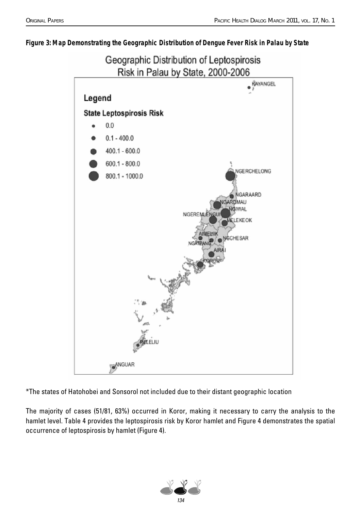#### **Figure 3: Map Demonstrating the Geographic Distribution of Dengue Fever Risk in Palau by State**



\*The states of Hatohobei and Sonsorol not included due to their distant geographic location

The majority of cases (51/81, 63%) occurred in Koror, making it necessary to carry the analysis to the hamlet level. Table 4 provides the leptospirosis risk by Koror hamlet and Figure 4 demonstrates the spatial occurrence of leptospirosis by hamlet (Figure 4).

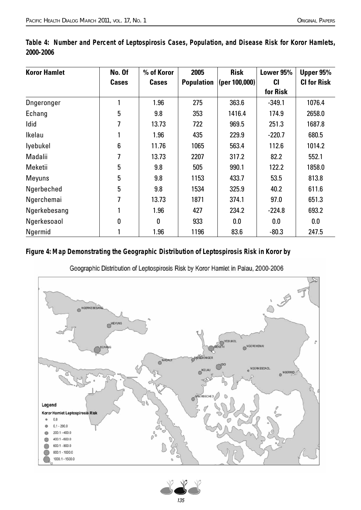| <b>Koror Hamlet</b> | No. Of       | % of Koror   | 2005              | <b>Risk</b>   | Lower 95% | Upper 95%          |
|---------------------|--------------|--------------|-------------------|---------------|-----------|--------------------|
|                     | <b>Cases</b> | <b>Cases</b> | <b>Population</b> | (per 100,000) | <b>CI</b> | <b>CI for Risk</b> |
|                     |              |              |                   |               | for Risk  |                    |
| <b>D</b> ngeronger  | 1            | 1.96         | 275               | 363.6         | $-349.1$  | 1076.4             |
| Echang              | 5            | 9.8          | 353               | 1416.4        | 174.9     | 2658.0             |
| Idid                | 7            | 13.73        | 722               | 969.5         | 251.3     | 1687.8             |
| Ikelau              |              | 1.96         | 435               | 229.9         | $-220.7$  | 680.5              |
| lyebukel            | 6            | 11.76        | 1065              | 563.4         | 112.6     | 1014.2             |
| Madalii             | 7            | 13.73        | 2207              | 317.2         | 82.2      | 552.1              |
| Meketii             | 5            | 9.8          | 505               | 990.1         | 122.2     | 1858.0             |
| <b>Meyuns</b>       | 5            | 9.8          | 1153              | 433.7         | 53.5      | 813.8              |
| Ngerbeched          | 5            | 9.8          | 1534              | 325.9         | 40.2      | 611.6              |
| Ngerchemai          | 7            | 13.73        | 1871              | 374.1         | 97.0      | 651.3              |
| Ngerkebesang        | 1            | 1.96         | 427               | 234.2         | $-224.8$  | 693.2              |
| Ngerkesoaol         | 0            | 0            | 933               | 0.0           | 0.0       | 0.0                |
| Ngermid             |              | 1.96         | 1196              | 83.6          | $-80.3$   | 247.5              |

**Table 4: Number and Percent of Leptospirosis Cases, Population, and Disease Risk for Koror Hamlets, 2000-2006**

#### **Figure 4: Map Demonstrating the Geographic Distribution of Leptospirosis Risk in Koror by**

Geographic Distribution of Leptospirosis Risk by Koror Hamlet in Palau, 2000-2006



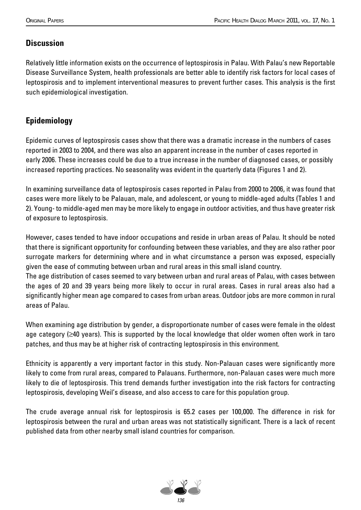# **Discussion**

Relatively little information exists on the occurrence of leptospirosis in Palau. With Palau's new Reportable Disease Surveillance System, health professionals are better able to identify risk factors for local cases of leptospirosis and to implement interventional measures to prevent further cases. This analysis is the first such epidemiological investigation.

# **Epidemiology**

Epidemic curves of leptospirosis cases show that there was a dramatic increase in the numbers of cases reported in 2003 to 2004, and there was also an apparent increase in the number of cases reported in early 2006. These increases could be due to a true increase in the number of diagnosed cases, or possibly increased reporting practices. No seasonality was evident in the quarterly data (Figures 1 and 2).

In examining surveillance data of leptospirosis cases reported in Palau from 2000 to 2006, it was found that cases were more likely to be Palauan, male, and adolescent, or young to middle-aged adults (Tables 1 and 2). Young- to middle-aged men may be more likely to engage in outdoor activities, and thus have greater risk of exposure to leptospirosis.

However, cases tended to have indoor occupations and reside in urban areas of Palau. It should be noted that there is significant opportunity for confounding between these variables, and they are also rather poor surrogate markers for determining where and in what circumstance a person was exposed, especially given the ease of commuting between urban and rural areas in this small island country.

The age distribution of cases seemed to vary between urban and rural areas of Palau, with cases between the ages of 20 and 39 years being more likely to occur in rural areas. Cases in rural areas also had a significantly higher mean age compared to cases from urban areas. Outdoor jobs are more common in rural areas of Palau.

When examining age distribution by gender, a disproportionate number of cases were female in the oldest age category (≥40 years). This is supported by the local knowledge that older women often work in taro patches, and thus may be at higher risk of contracting leptospirosis in this environment.

Ethnicity is apparently a very important factor in this study. Non-Palauan cases were significantly more likely to come from rural areas, compared to Palauans. Furthermore, non-Palauan cases were much more likely to die of leptospirosis. This trend demands further investigation into the risk factors for contracting leptospirosis, developing Weil's disease, and also access to care for this population group.

The crude average annual risk for leptospirosis is 65.2 cases per 100,000. The difference in risk for leptospirosis between the rural and urban areas was not statistically significant. There is a lack of recent published data from other nearby small island countries for comparison.

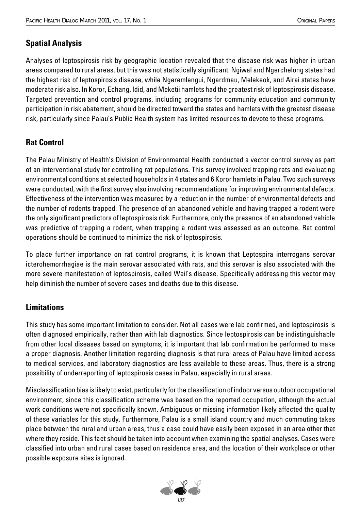# **Spatial Analysis**

Analyses of leptospirosis risk by geographic location revealed that the disease risk was higher in urban areas compared to rural areas, but this was not statistically significant. Ngiwal and Ngerchelong states had the highest risk of leptospirosis disease, while Ngeremlengui, Ngardmau, Melekeok, and Airai states have moderate risk also. In Koror, Echang, Idid, and Meketii hamlets had the greatest risk of leptospirosis disease. Targeted prevention and control programs, including programs for community education and community participation in risk abatement, should be directed toward the states and hamlets with the greatest disease risk, particularly since Palau's Public Health system has limited resources to devote to these programs.

# **Rat Control**

The Palau Ministry of Health's Division of Environmental Health conducted a vector control survey as part of an interventional study for controlling rat populations. This survey involved trapping rats and evaluating environmental conditions at selected households in 4 states and 6 Koror hamlets in Palau. Two such surveys were conducted, with the first survey also involving recommendations for improving environmental defects. Effectiveness of the intervention was measured by a reduction in the number of environmental defects and the number of rodents trapped. The presence of an abandoned vehicle and having trapped a rodent were the only significant predictors of leptospirosis risk. Furthermore, only the presence of an abandoned vehicle was predictive of trapping a rodent, when trapping a rodent was assessed as an outcome. Rat control operations should be continued to minimize the risk of leptospirosis.

To place further importance on rat control programs, it is known that Leptospira interrogans serovar icterohemorrhagiae is the main serovar associated with rats, and this serovar is also associated with the more severe manifestation of leptospirosis, called Weil's disease. Specifically addressing this vector may help diminish the number of severe cases and deaths due to this disease.

# **Limitations**

This study has some important limitation to consider. Not all cases were lab confirmed, and leptospirosis is often diagnosed empirically, rather than with lab diagnostics. Since leptospirosis can be indistinguishable from other local diseases based on symptoms, it is important that lab confirmation be performed to make a proper diagnosis. Another limitation regarding diagnosis is that rural areas of Palau have limited access to medical services, and laboratory diagnostics are less available to these areas. Thus, there is a strong possibility of underreporting of leptospirosis cases in Palau, especially in rural areas.

Misclassification bias is likely to exist, particularly for the classification of indoor versus outdoor occupational environment, since this classification scheme was based on the reported occupation, although the actual work conditions were not specifically known. Ambiguous or missing information likely affected the quality of these variables for this study. Furthermore, Palau is a small island country and much commuting takes place between the rural and urban areas, thus a case could have easily been exposed in an area other that where they reside. This fact should be taken into account when examining the spatial analyses. Cases were classified into urban and rural cases based on residence area, and the location of their workplace or other possible exposure sites is ignored.